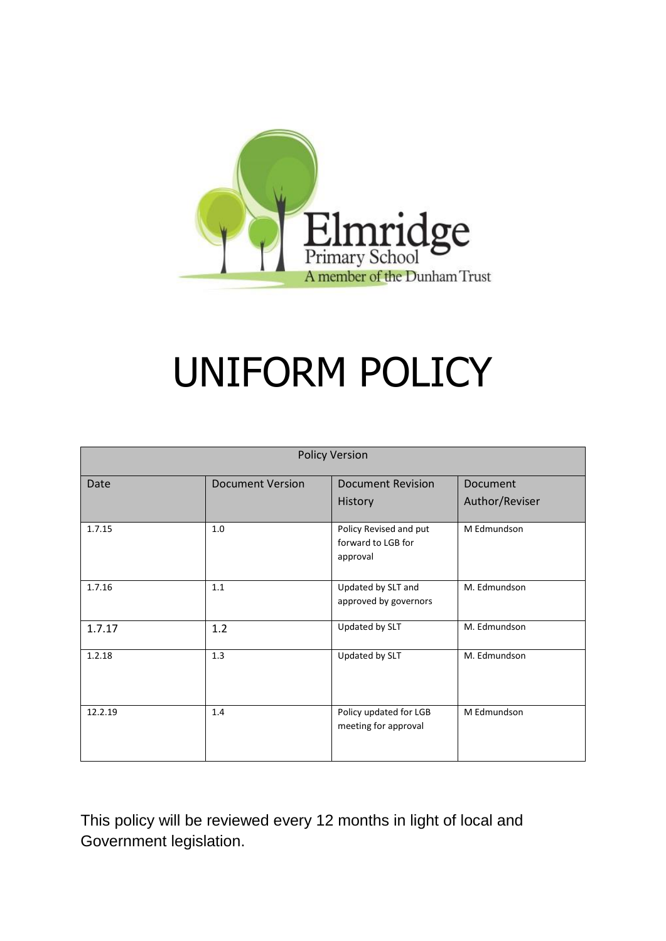

# UNIFORM POLICY

| <b>Policy Version</b> |                         |                                                          |                |  |
|-----------------------|-------------------------|----------------------------------------------------------|----------------|--|
| Date                  | <b>Document Version</b> | <b>Document Revision</b>                                 | Document       |  |
|                       |                         | History                                                  | Author/Reviser |  |
| 1.7.15                | 1.0                     | Policy Revised and put<br>forward to LGB for<br>approval | M Edmundson    |  |
| 1.7.16                | 1.1                     | Updated by SLT and<br>approved by governors              | M. Edmundson   |  |
| 1.7.17                | 1.2                     | Updated by SLT                                           | M. Edmundson   |  |
| 1.2.18                | 1.3                     | Updated by SLT                                           | M. Edmundson   |  |
| 12.2.19               | 1.4                     | Policy updated for LGB<br>meeting for approval           | M Edmundson    |  |

This policy will be reviewed every 12 months in light of local and Government legislation.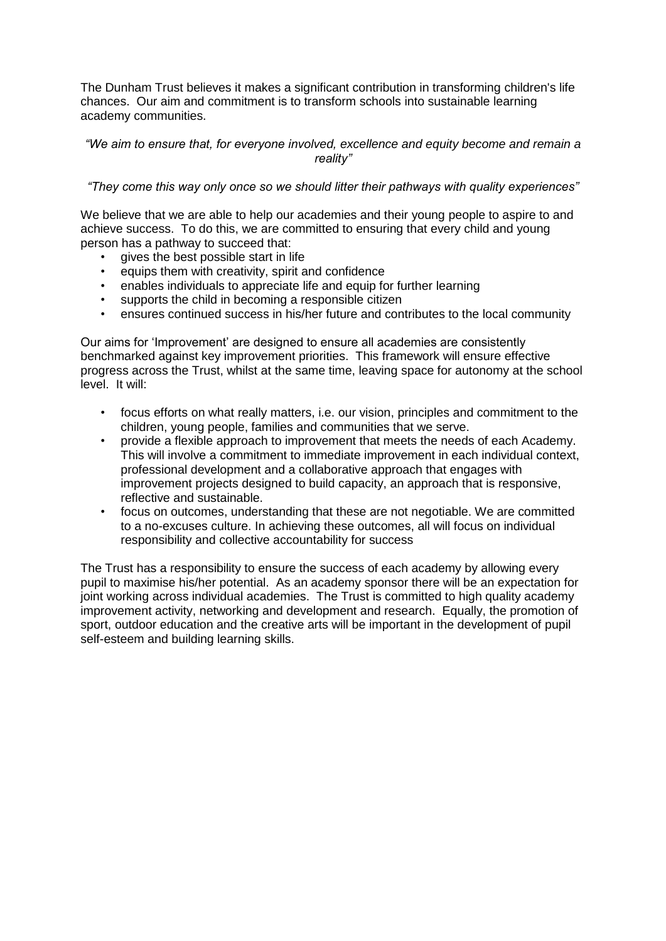The Dunham Trust believes it makes a significant contribution in transforming children's life chances. Our aim and commitment is to transform schools into sustainable learning academy communities.

#### *"We aim to ensure that, for everyone involved, excellence and equity become and remain a reality"*

#### *"They come this way only once so we should litter their pathways with quality experiences"*

We believe that we are able to help our academies and their young people to aspire to and achieve success. To do this, we are committed to ensuring that every child and young person has a pathway to succeed that:

- gives the best possible start in life
- equips them with creativity, spirit and confidence
- enables individuals to appreciate life and equip for further learning
- supports the child in becoming a responsible citizen
- ensures continued success in his/her future and contributes to the local community

Our aims for 'Improvement' are designed to ensure all academies are consistently benchmarked against key improvement priorities. This framework will ensure effective progress across the Trust, whilst at the same time, leaving space for autonomy at the school level. It will:

- focus efforts on what really matters, i.e. our vision, principles and commitment to the children, young people, families and communities that we serve.
- provide a flexible approach to improvement that meets the needs of each Academy. This will involve a commitment to immediate improvement in each individual context, professional development and a collaborative approach that engages with improvement projects designed to build capacity, an approach that is responsive, reflective and sustainable.
- focus on outcomes, understanding that these are not negotiable. We are committed to a no-excuses culture. In achieving these outcomes, all will focus on individual responsibility and collective accountability for success

The Trust has a responsibility to ensure the success of each academy by allowing every pupil to maximise his/her potential. As an academy sponsor there will be an expectation for joint working across individual academies. The Trust is committed to high quality academy improvement activity, networking and development and research. Equally, the promotion of sport, outdoor education and the creative arts will be important in the development of pupil self-esteem and building learning skills.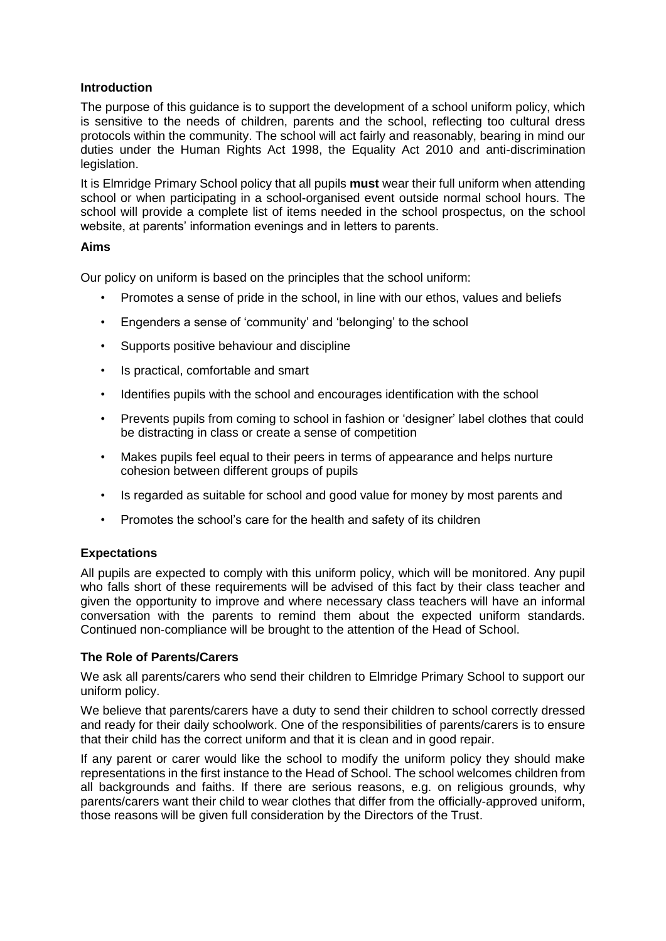# **Introduction**

The purpose of this guidance is to support the development of a school uniform policy, which is sensitive to the needs of children, parents and the school, reflecting too cultural dress protocols within the community. The school will act fairly and reasonably, bearing in mind our duties under the Human Rights Act 1998, the Equality Act 2010 and anti-discrimination legislation.

It is Elmridge Primary School policy that all pupils **must** wear their full uniform when attending school or when participating in a school-organised event outside normal school hours. The school will provide a complete list of items needed in the school prospectus, on the school website, at parents' information evenings and in letters to parents.

# **Aims**

Our policy on uniform is based on the principles that the school uniform:

- Promotes a sense of pride in the school, in line with our ethos, values and beliefs
- Engenders a sense of 'community' and 'belonging' to the school
- Supports positive behaviour and discipline
- Is practical, comfortable and smart
- Identifies pupils with the school and encourages identification with the school
- Prevents pupils from coming to school in fashion or 'designer' label clothes that could be distracting in class or create a sense of competition
- Makes pupils feel equal to their peers in terms of appearance and helps nurture cohesion between different groups of pupils
- Is regarded as suitable for school and good value for money by most parents and
- Promotes the school's care for the health and safety of its children

# **Expectations**

All pupils are expected to comply with this uniform policy, which will be monitored. Any pupil who falls short of these requirements will be advised of this fact by their class teacher and given the opportunity to improve and where necessary class teachers will have an informal conversation with the parents to remind them about the expected uniform standards. Continued non-compliance will be brought to the attention of the Head of School.

#### **The Role of Parents/Carers**

We ask all parents/carers who send their children to Elmridge Primary School to support our uniform policy.

We believe that parents/carers have a duty to send their children to school correctly dressed and ready for their daily schoolwork. One of the responsibilities of parents/carers is to ensure that their child has the correct uniform and that it is clean and in good repair.

If any parent or carer would like the school to modify the uniform policy they should make representations in the first instance to the Head of School. The school welcomes children from all backgrounds and faiths. If there are serious reasons, e.g. on religious grounds, why parents/carers want their child to wear clothes that differ from the officially-approved uniform, those reasons will be given full consideration by the Directors of the Trust.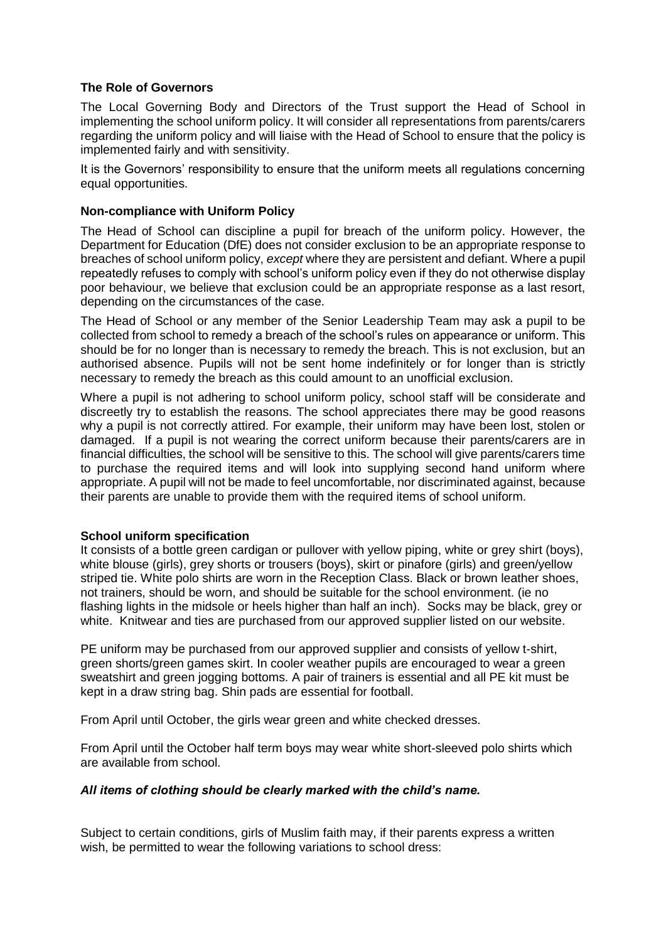# **The Role of Governors**

The Local Governing Body and Directors of the Trust support the Head of School in implementing the school uniform policy. It will consider all representations from parents/carers regarding the uniform policy and will liaise with the Head of School to ensure that the policy is implemented fairly and with sensitivity.

It is the Governors' responsibility to ensure that the uniform meets all regulations concerning equal opportunities.

# **Non-compliance with Uniform Policy**

The Head of School can discipline a pupil for breach of the uniform policy. However, the Department for Education (DfE) does not consider exclusion to be an appropriate response to breaches of school uniform policy, *except* where they are persistent and defiant. Where a pupil repeatedly refuses to comply with school's uniform policy even if they do not otherwise display poor behaviour, we believe that exclusion could be an appropriate response as a last resort, depending on the circumstances of the case.

The Head of School or any member of the Senior Leadership Team may ask a pupil to be collected from school to remedy a breach of the school's rules on appearance or uniform. This should be for no longer than is necessary to remedy the breach. This is not exclusion, but an authorised absence. Pupils will not be sent home indefinitely or for longer than is strictly necessary to remedy the breach as this could amount to an unofficial exclusion.

Where a pupil is not adhering to school uniform policy, school staff will be considerate and discreetly try to establish the reasons. The school appreciates there may be good reasons why a pupil is not correctly attired. For example, their uniform may have been lost, stolen or damaged. If a pupil is not wearing the correct uniform because their parents/carers are in financial difficulties, the school will be sensitive to this. The school will give parents/carers time to purchase the required items and will look into supplying second hand uniform where appropriate. A pupil will not be made to feel uncomfortable, nor discriminated against, because their parents are unable to provide them with the required items of school uniform.

# **School uniform specification**

It consists of a bottle green cardigan or pullover with yellow piping, white or grey shirt (boys), white blouse (girls), grey shorts or trousers (boys), skirt or pinafore (girls) and green/yellow striped tie. White polo shirts are worn in the Reception Class. Black or brown leather shoes, not trainers, should be worn, and should be suitable for the school environment. (ie no flashing lights in the midsole or heels higher than half an inch). Socks may be black, grey or white. Knitwear and ties are purchased from our approved supplier listed on our website.

PE uniform may be purchased from our approved supplier and consists of yellow t-shirt, green shorts/green games skirt. In cooler weather pupils are encouraged to wear a green sweatshirt and green jogging bottoms. A pair of trainers is essential and all PE kit must be kept in a draw string bag. Shin pads are essential for football.

From April until October, the girls wear green and white checked dresses.

From April until the October half term boys may wear white short-sleeved polo shirts which are available from school.

# *All items of clothing should be clearly marked with the child's name.*

Subject to certain conditions, girls of Muslim faith may, if their parents express a written wish, be permitted to wear the following variations to school dress: